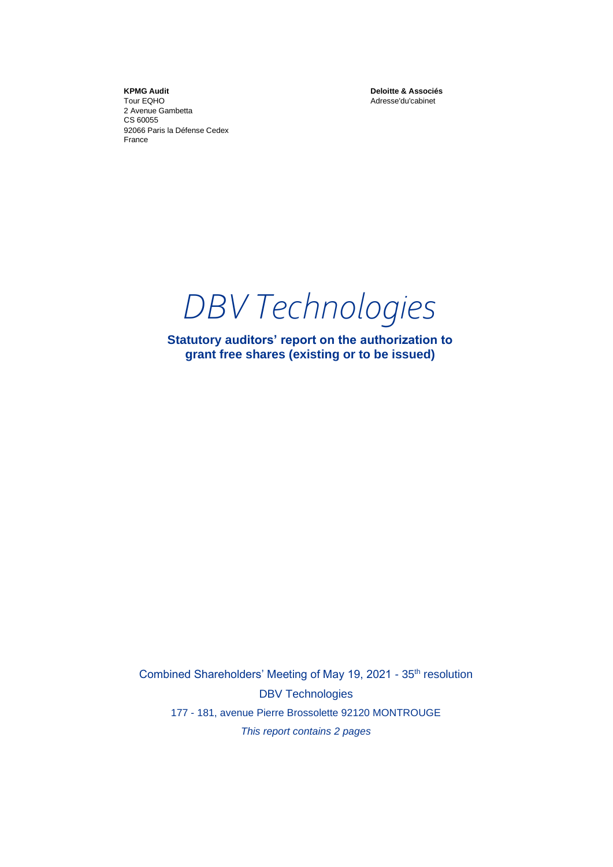**KPMG Audit** Tour EQHO 2 Avenue Gambetta CS 60055 92066 Paris la Défense Cedex France

**Deloitte & Associés** Adresse'du'cabinet



**Statutory auditors' report on the authorization to grant free shares (existing or to be issued)**

Combined Shareholders' Meeting of May 19, 2021 - 35<sup>th</sup> resolution DBV Technologies 177 - 181, avenue Pierre Brossolette 92120 MONTROUGE *This report contains 2 pages*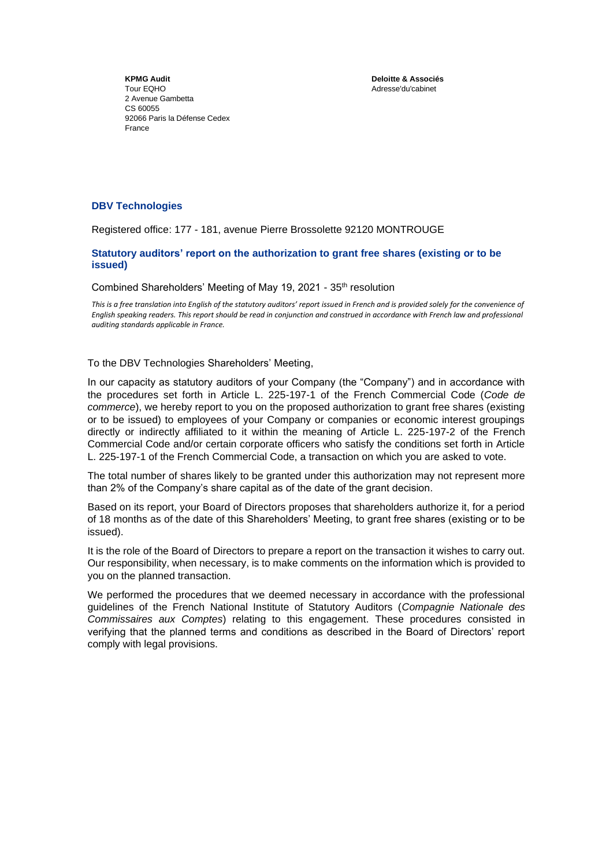**Deloitte & Associés** Adresse'du'cabinet

**KPMG Audit** Tour EQHO 2 Avenue Gambetta CS 60055 92066 Paris la Défense Cedex France

## **DBV Technologies**

Registered office: 177 - 181, avenue Pierre Brossolette 92120 MONTROUGE

## **Statutory auditors' report on the authorization to grant free shares (existing or to be issued)**

Combined Shareholders' Meeting of May 19, 2021 - 35th resolution

*This is a free translation into English of the statutory auditors' report issued in French and is provided solely for the convenience of English speaking readers. This report should be read in conjunction and construed in accordance with French law and professional auditing standards applicable in France.*

## To the DBV Technologies Shareholders' Meeting,

In our capacity as statutory auditors of your Company (the "Company") and in accordance with the procedures set forth in Article L. 225-197-1 of the French Commercial Code (*Code de commerce*), we hereby report to you on the proposed authorization to grant free shares (existing or to be issued) to employees of your Company or companies or economic interest groupings directly or indirectly affiliated to it within the meaning of Article L. 225-197-2 of the French Commercial Code and/or certain corporate officers who satisfy the conditions set forth in Article L. 225-197-1 of the French Commercial Code, a transaction on which you are asked to vote.

The total number of shares likely to be granted under this authorization may not represent more than 2% of the Company's share capital as of the date of the grant decision.

Based on its report, your Board of Directors proposes that shareholders authorize it, for a period of 18 months as of the date of this Shareholders' Meeting, to grant free shares (existing or to be issued).

It is the role of the Board of Directors to prepare a report on the transaction it wishes to carry out. Our responsibility, when necessary, is to make comments on the information which is provided to you on the planned transaction.

We performed the procedures that we deemed necessary in accordance with the professional guidelines of the French National Institute of Statutory Auditors (*Compagnie Nationale des Commissaires aux Comptes*) relating to this engagement. These procedures consisted in verifying that the planned terms and conditions as described in the Board of Directors' report comply with legal provisions.